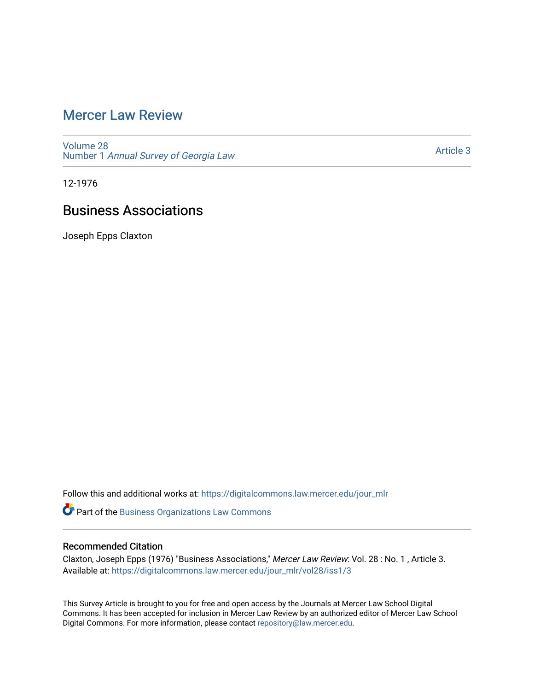# [Mercer Law Review](https://digitalcommons.law.mercer.edu/jour_mlr)

[Volume 28](https://digitalcommons.law.mercer.edu/jour_mlr/vol28) Number 1 [Annual Survey of Georgia Law](https://digitalcommons.law.mercer.edu/jour_mlr/vol28/iss1) 

[Article 3](https://digitalcommons.law.mercer.edu/jour_mlr/vol28/iss1/3) 

12-1976

# Business Associations

Joseph Epps Claxton

Follow this and additional works at: [https://digitalcommons.law.mercer.edu/jour\\_mlr](https://digitalcommons.law.mercer.edu/jour_mlr?utm_source=digitalcommons.law.mercer.edu%2Fjour_mlr%2Fvol28%2Fiss1%2F3&utm_medium=PDF&utm_campaign=PDFCoverPages)

Part of the [Business Organizations Law Commons](http://network.bepress.com/hgg/discipline/900?utm_source=digitalcommons.law.mercer.edu%2Fjour_mlr%2Fvol28%2Fiss1%2F3&utm_medium=PDF&utm_campaign=PDFCoverPages)

# Recommended Citation

Claxton, Joseph Epps (1976) "Business Associations," Mercer Law Review: Vol. 28 : No. 1 , Article 3. Available at: [https://digitalcommons.law.mercer.edu/jour\\_mlr/vol28/iss1/3](https://digitalcommons.law.mercer.edu/jour_mlr/vol28/iss1/3?utm_source=digitalcommons.law.mercer.edu%2Fjour_mlr%2Fvol28%2Fiss1%2F3&utm_medium=PDF&utm_campaign=PDFCoverPages)

This Survey Article is brought to you for free and open access by the Journals at Mercer Law School Digital Commons. It has been accepted for inclusion in Mercer Law Review by an authorized editor of Mercer Law School Digital Commons. For more information, please contact [repository@law.mercer.edu](mailto:repository@law.mercer.edu).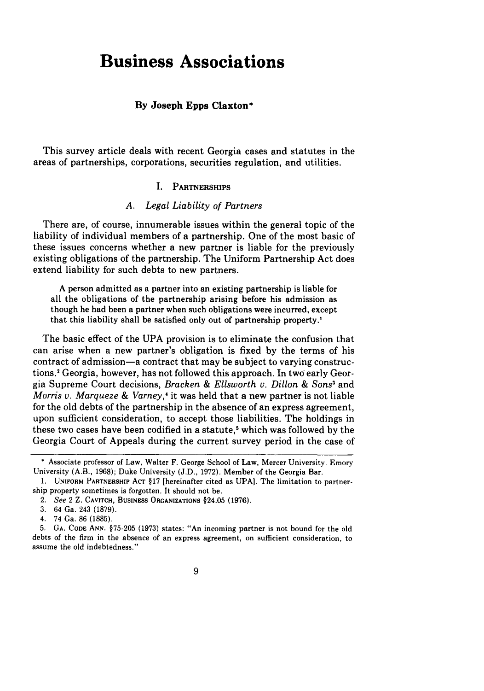# **Business Associations**

#### **By Joseph Epps Claxton\***

This survey article deals with recent Georgia cases and statutes in the areas of partnerships, corporations, securities regulation, and utilities.

#### **I.** PARTNERSHIPS

#### *A. Legal Liability of Partners*

There are, of course, innumerable issues within the general topic of the liability of individual members of a partnership. One of the most basic of these issues concerns whether a new partner is liable for the previously existing obligations of the partnership. The Uniform Partnership Act does extend liability for such debts to new partners.

A person admitted as a partner into an existing partnership is liable for all the obligations of the partnership arising before his admission as though he had been a partner when such obligations were incurred, except that this liability shall be satisfied only out of partnership property.'

The basic effect of the UPA provision is to eliminate the confusion that can arise when a new partner's obligation is fixed by the terms of his contract of admission-a contract that may be subject to varying constructions.' Georgia, however, has not followed this approach. In two early Georgia Supreme Court decisions, *Bracken & Ellsworth v. Dillon & Sons3* and *Morris v. Marqueze & Varney,'* it was held that a new partner is not liable for the old debts of the partnership in the absence of an express agreement, upon sufficient consideration, to accept those liabilities. The holdings in these two cases have been codified in a statute,<sup>5</sup> which was followed by the Georgia Court of Appeals during the current survey period in the case of

<sup>\*</sup> Associate professor of Law, Walter F. George School of Law, Mercer University. Emory University (A.B., 1968); Duke University (J.D., 1972). Member of the Georgia Bar.

<sup>1.</sup> **UNIFORM** PARTNERSHIP AcT §17 [hereinafter cited as UPA]. The limitation to partnership property sometimes is forgotten. It should not be.

<sup>2.</sup> See 2 Z. **CAVITCH,** BUSINESS **ORGANIZATIONS** §24.05 **(1976).**

**<sup>3.</sup>** 64 Ga. 243 **(1879).**

<sup>4. 74</sup> Ga. **86 (1885).**

**<sup>5.</sup> GA. CODE ANN. §75-205 (1973)** states: "An incoming partner is not bound for the old debts of the firm in the absence of an express agreement, on sufficient consideration, to assume the old indebtedness."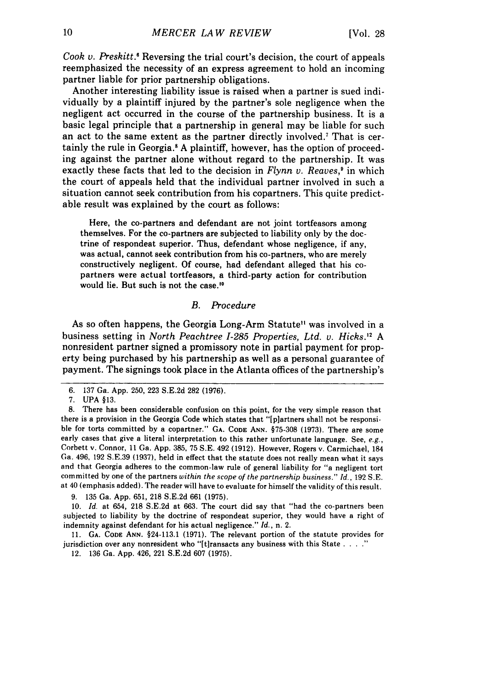Cook *v. Preskitt*.<sup>6</sup> Reversing the trial court's decision, the court of appeals reemphasized the necessity of an express agreement to hold an incoming partner liable for prior partnership obligations.

Another interesting liability issue is raised when a partner is sued individually by a plaintiff injured by the partner's sole negligence when the negligent act occurred in the course of the partnership business. It is a basic legal principle that a partnership in general may be liable for such an act to the same extent as the partner directly involved.7 That is certainly the rule in Georgia.' A plaintiff, however, has the option of proceeding against the partner alone without regard to the partnership. It was exactly these facts that led to the decision in *Flynn v. Reaves*,<sup>9</sup> in which the court of appeals held that the individual partner involved in such a situation cannot seek contribution from his copartners. This quite predictable result was explained by the court as follows:

Here, the co-partners and defendant are not joint tortfeasors among themselves. For the co-partners are subjected to liability only by the doctrine of respondeat superior. Thus, defendant whose negligence, if any, was actual, cannot seek contribution from his co-partners, who are merely constructively negligent. Of course, had defendant alleged that his copartners were actual tortfeasors, a third-party action for contribution would lie. But such is not the case.'<sup>0</sup>

### B. *Procedure*

As so often happens, the Georgia Long-Arm Statute<sup>11</sup> was involved in a business setting in *North Peachtree 1-285 Properties, Ltd. v. Hicks.'2 A* nonresident partner signed a promissory note in partial payment for property being purchased by his partnership as well as a personal guarantee of payment. The signings took place in the Atlanta offices of the partnership's

<sup>6. 137</sup> Ga. App. 250, 223 S.E.2d 282 (1976).

<sup>7.</sup> **UPA** §13.

<sup>8.</sup> There has been considerable confusion on this point, for the very simple reason that there is a provision in the Georgia Code which states that "[p]artners shall not be responsible for torts committed by a copartner." GA. **CODE ANN.** §75-308 (1973). There are some early cases that give a literal interpretation to this rather unfortunate language. See, *e.g.,* Corbett v. Connor, 11 Ga. App. 385, 75 S.E. 492 (1912). However, Rogers v. Carmichael, 184 Ga. 496, 192 S.E.39 (1937), held in effect that the statute does not really mean what it says and that Georgia adheres to the common-law rule of general liability for "a negligent tort committed by one of the partners *within the scope of the partnership business." Id.,* 192 S.E. at 40 (emphasis added). The reader will have to evaluate for himself the validity of this result.

<sup>9. 135</sup> Ga. App. 651, 218 S.E.2d 661 (1975).

<sup>10.</sup> *Id.* at 654, 218 S.E.2d at 663. The court did say that "had the co-partners been subjected to liability by the doctrine of respondeat superior, they would have a right of indemnity against defendant for his actual negligence." *Id.,* n. 2.

<sup>11.</sup> **GA. CODE ANN.** §24-113.1 (1971). The relevant portion of the statute provides for jurisdiction over any nonresident who "[t]ransacts any business with this State . . . .'

<sup>12. 136</sup> Ga. App. 426, 221 S.E.2d 607 (1975).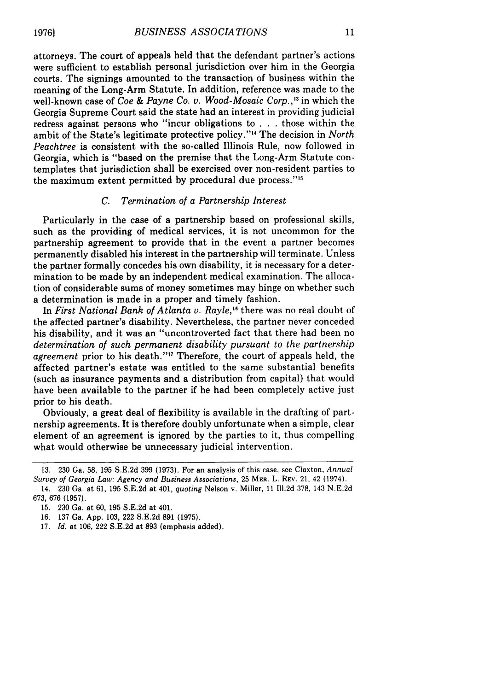attorneys. The court of appeals held that the defendant partner's actions were sufficient to establish personal jurisdiction over him in the Georgia courts. The signings amounted to the transaction of business within the meaning of the Long-Arm Statute. In addition, reference was made to the well-known case of *Coe & Payne Co. v. Wood-Mosaic Corp.,'"* in which the Georgia Supreme Court said the state had an interest in providing judicial redress against persons who "incur obligations to . . . those within the ambit of the State's legitimate protective policy."'" The decision in *North Peachtree* is consistent with the so-called Illinois Rule, now followed in Georgia, which is "based on the premise that the Long-Arm Statute contemplates that jurisdiction shall be exercised over non-resident parties to the maximum extent permitted by procedural due process.""

#### *C. Termination of a Partnership Interest*

Particularly in the case of a partnership based on professional skills, such as the providing of medical services, it is not uncommon for the partnership agreement to provide that in the event a partner becomes permanently disabled his interest in the partnership will terminate. Unless the partner formally concedes his own disability, it is necessary for a determination to be made by an independent medical examination. The allocation of considerable sums of money sometimes may hinge on whether such a determination is made in a proper and timely fashion.

In *First National Bank of Atlanta v. Rayle,"* there was no real doubt of the affected partner's disability. Nevertheless, the partner never conceded his disability, and it was an "uncontroverted fact that there had been no *determination of such permanent disability pursuant to the partnership* agreement prior to his death."<sup>17</sup> Therefore, the court of appeals held, the affected partner's estate was entitled to the same substantial benefits (such as insurance payments and a distribution from capital) that would have been available to the partner if he had been completely active just prior to his death.

Obviously, a great deal of flexibility is available in the drafting of partnership agreements. It is therefore doubly unfortunate when a simple, clear element of an agreement is ignored by the parties to it, thus compelling what would otherwise be unnecessary judicial intervention.

17. *Id.* at 106, 222 S.E.2d at 893 (emphasis added).

<sup>13. 230</sup> Ga. 58, 195 S.E.2d 399 (1973). For an analysis of this case, see Claxton, Annual *Survey of Georgia Law: Agency and Business Associations,* 25 MER. L. REV. 21, 42 (1974).

<sup>14. 230</sup> Ga. at 61, 195 S.E.2d at 401, *quoting* Nelson v. Miller, 11 Ill.2d 378, 143 N.E.2d 673, 676 (1957).

<sup>15. 230</sup> Ga. at 60, 195 S.E.2d at 401.

<sup>16. 137</sup> Ga. App. 103, 222 S.E.2d 891 (1975).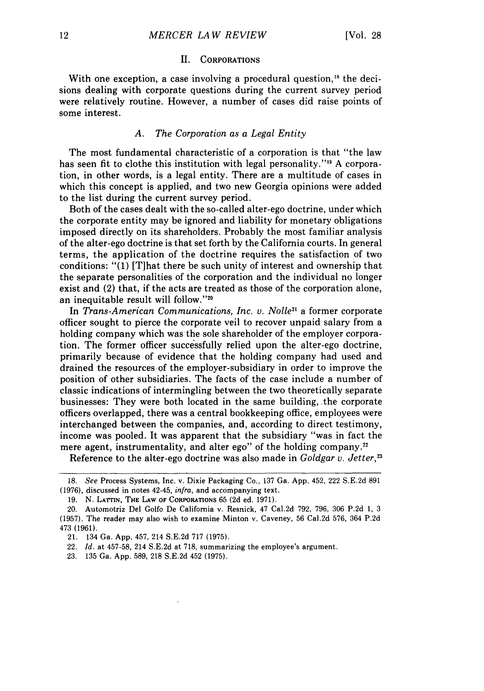#### II. CORPORATIONS

With one exception, a case involving a procedural question,<sup>18</sup> the decisions dealing with corporate questions during the current survey period were relatively routine. However, a number of cases did raise points of some interest.

#### *A. The Corporation as a Legal Entity*

The most fundamental characteristic of a corporation is that "the law has seen fit to clothe this institution with legal personality."<sup>19</sup> A corporation, in other words, is a legal entity. There are a multitude of cases in which this concept is applied, and two new Georgia opinions were added to the list during the current survey period.

Both of the cases dealt with the so-called alter-ego doctrine, under which the corporate entity may be ignored and liability for monetary obligations imposed directly on its shareholders. Probably the most familiar analysis of the alter-ego doctrine is that set forth by the California courts. In general terms, the application of the doctrine requires the satisfaction of two conditions: "(1) [T]hat there be such unity of interest and ownership that the separate personalities of the corporation and the individual no longer exist and (2) that, if the acts are treated as those of the corporation alone, an inequitable result will follow."<sup>20</sup>

In *Trans-American Communications, Inc. v. Nolle2'* a former corporate officer sought to pierce the corporate veil to recover unpaid salary from a holding company which was the sole shareholder of the employer corporation. The former officer successfully relied upon the alter-ego doctrine, primarily because of evidence that the holding company had used and drained the resources of the employer-subsidiary in order to improve the position of other subsidiaries. The facts of the case include a number of classic indications of intermingling between the two theoretically separate businesses: They were both located in the same building, .the corporate officers overlapped, there was a central bookkeeping office, employees were interchanged between the companies, and, according to direct testimony, income was pooled. It was apparent that the subsidiary "was in fact the mere agent, instrumentality, and alter ego" of the holding company.<sup>22</sup>

Reference to the alter-ego doctrine was also made in *Goldgar v. Jetter,23*

**<sup>18.</sup>** *See* Process Systems, Inc. v. Dixie Packaging Co., **137** Ga. **App.** 452, 222 **S.E.2d 891 (1976),** discussed in notes 42-45, *infra,* and accompanying text.

<sup>19.</sup> N. LATTIN, THE LAW OF CORPORATIONS 65 (2d ed. 1971).

<sup>20.</sup> Automotriz Del Golfo De California v. Resnick, 47 Cal.2d **792, 796, 306 P.2d 1,** 3 **(1957).** The reader may also wish to examine Minton v. Caveney, **56** Cal.2d **576,** 364 **P.2d** 473 **(1961).**

<sup>21. 134</sup> Ga. **App.** 457, 214 **S.E.2d 717 (1975).**

<sup>22.</sup> *Id.* at **457-58,** 214 **S.E.2d** at **718,** summarizing the employee's argument.

**<sup>23. 135</sup>** Ga. **App. 589, 218 S.E.2d** 452 **(1975).**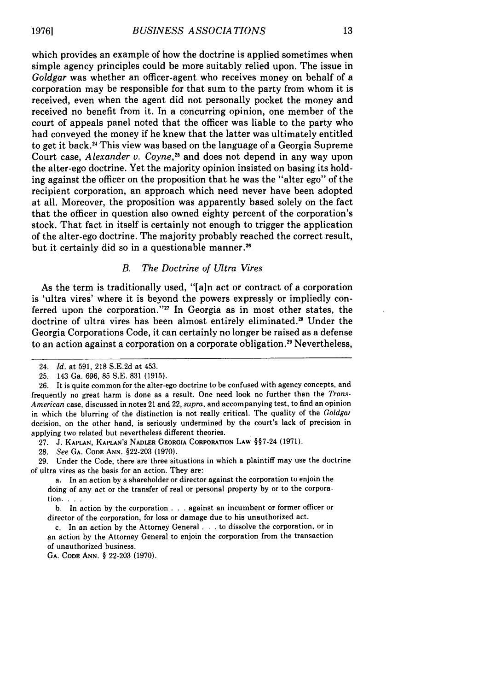which provides an example of how the doctrine is applied sometimes when simple agency principles could be more suitably relied upon. The issue in *Goldgar* was whether an officer-agent who receives money on behalf of a corporation may be responsible for that sum to the party from whom it is received, even when the agent did not personally pocket the money and received no benefit from it. In a concurring opinion, one member of the court of appeals panel noted that the officer was liable to the party who had conveyed the money if he knew that the latter was ultimately entitled to get it back. 4 This view was based on the language of a Georgia Supreme Court case, *Alexander v. Coyne*,<sup>25</sup> and does not depend in any way upon the alter-ego doctrine. Yet the majority opinion insisted on basing its holding against the officer on the proposition that he was the "alter ego" of the recipient corporation, an approach which need never have been adopted at all. Moreover, the proposition was apparently based solely on the fact that the officer in question also owned eighty percent of the corporation's stock. That fact in itself is certainly not enough to trigger the application of the alter-ego doctrine. The majority probably reached the correct result, but it certainly did so in a questionable manner.<sup>26</sup>

## *B. The Doctrine of Ultra Vires*

As the term is traditionally used, "[a]n act or contract of a corporation is 'ultra vires' where it is beyond the powers expressly or impliedly conferred upon the corporation."" In Georgia as in most other states, the doctrine of ultra vires has been almost entirely eliminated.<sup>28</sup> Under the Georgia Corporations Code, it can certainly no longer be raised as a defense to an action against a corporation on a corporate obligation.<sup>29</sup> Nevertheless,

27. J. **KAPLAN, KAPLAN'S** NADLER **GEORGIA CORPORATION LAW** §§7-24 **(1971).**

**28.** *See* **GA. CODE ANN. §22-203 (1970).**

**29.** Under the Code, there are three situations in which a plaintiff may use the doctrine of ultra vires as the basis for an **action.** They are:

a. In an action **by** a shareholder or director against the corporation to enjoin the doing of any act or the transfer of real or personal property **by** or to the corporation. . **..**

**b.** In action **by** the corporation **.. .**against an incumbent or former officer or director of the corporation, for loss or damage due to his unauthorized act.

c. In an action **by** the Attorney General **. ..**to dissolve the corporation, or in an action **by** the Attorney General to enjoin the corporation from the transaction of unauthorized business.

**GA. CODE ANN.** § 22-203 (1970).

<sup>24.</sup> *Id.* at 591, 218 S.E.2d at 453.

<sup>25. 143</sup> Ga. 696, 85 S.E. 831 (1915).

<sup>26.</sup> It is quite common for the alter-ego doctrine to be confused with agency concepts, and frequently no great harm is done as a result. One need look no further than the *Trans-American* case, discussed in notes 21 and 22, supra, and accompanying test, to find an opinion in which the blurring of the distinction is not really critical. The quality of the *Goldgar* decision, on the other hand, is seriously undermined by the court's lack of precision in applying two related but nevertheless different theories.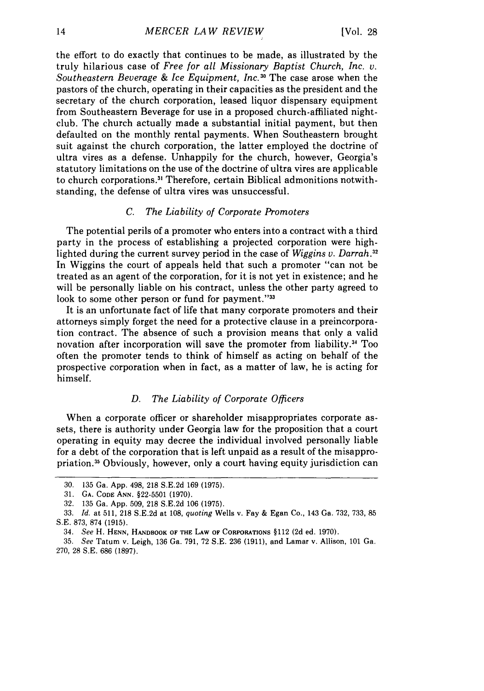the effort to do exactly that continues to be made, as illustrated by the truly hilarious case of *Free for all Missionary Baptist Church, Inc. v. Southeastern Beverage & Ice Equipment, Inc.30* The case arose when the pastors of the church, operating in their capacities as the president and the secretary of the church corporation, leased liquor dispensary equipment from Southeastern Beverage for use in a proposed church-affiliated nightclub. The church actually made a substantial initial payment, but then defaulted on the monthly rental payments. When Southeastern brought suit against the church corporation, the latter employed the doctrine of ultra vires as a defense. Unhappily for the church, however, Georgia's statutory limitations on the use of the doctrine of ultra vires are applicable to church corporations **. 3** Therefore, certain Biblical admonitions notwithstanding, the defense of ultra vires was unsuccessful.

#### *C. The Liability of Corporate Promoters*

The potential perils of a promoter who enters into a contract with a third party in the process of establishing a projected corporation were highlighted during the current survey period in the case of *Wiggins v. Darrah*<sup>32</sup> In Wiggins the court of appeals held that such a promoter "can not be treated as an agent of the corporation, for it is not yet in existence; and he will be personally liable on his contract, unless the other party agreed to look to some other person or fund for payment."<sup>33</sup>

It is an unfortunate fact of life that many corporate promoters and their attorneys simply forget the need for a protective clause in a preincorporation contract. The absence of such a provision means that only a valid novation after incorporation will save the promoter from liability.<sup>34</sup> Too often the promoter tends to think of himself as acting on behalf of the prospective corporation when in fact, as a matter of law, he is acting for himself.

#### *D. The Liability of Corporate Officers*

When a corporate officer or shareholder misappropriates corporate assets, there is authority under Georgia law for the proposition that a court operating in equity may decree the individual involved personally liable for a debt of the corporation that is left unpaid as a result of the misappropriation.3 5 Obviously, however, only a court having equity jurisdiction can

<sup>30. 135</sup> Ga. App. 498, 218 S.E.2d 169 (1975).

<sup>31.</sup> **GA.** CODE ANN. §22-5501 (1970).

<sup>32. 135</sup> Ga. App. 509, 218 S.E.2d 106 (1975).

<sup>33.</sup> *Id.* at 511, 218 S.E.2d at 108, *quoting* Wells v. Fay & Egan Co., 143 Ga. 732, 733, 85 **S.E.** 873, 874 (1915).

<sup>34.</sup> *See* H. **I-IENN,** HANDBOOK **OF** THE **LAW** OF CORPORATIONS §112 (2d ed. 1970).

<sup>35.</sup> *See* **Tatum** v. Leigh, 136 Ga. 791, 72 S.E. **236** (1911), and Lamar v. Allison, 101 Ga. 270, 28 S.E. 686 (1897).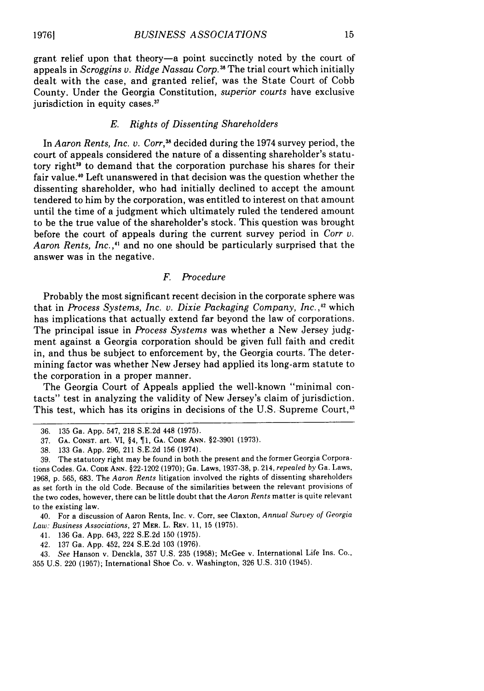grant relief upon that theory-a point succinctly noted by the court of appeals in *Scroggins v. Ridge Nassau Corp."6* The trial court which initially dealt with the case, and granted relief, was the State Court of Cobb County. Under the Georgia Constitution, *superior courts* have exclusive jurisdiction in equity cases.<sup>37</sup>

#### *E. Rights of Dissenting Shareholders*

In *Aaron Rents, Inc. v. Corr,3 <sup>1</sup>*decided during the 1974 survey period, the court of appeals considered the nature of a dissenting shareholder's statutory right<sup>39</sup> to demand that the corporation purchase his shares for their fair value.<sup>40</sup> Left unanswered in that decision was the question whether the dissenting shareholder, who had initially declined to accept the amount tendered to him by the corporation, was entitled to interest on that amount until the time of a judgment which ultimately ruled the tendered amount to be the true value of the shareholder's stock. This question was brought before the court of appeals during the current survey period in *Corr v.* Aaron Rents, Inc.,<sup>41</sup> and no one should be particularly surprised that the answer was in the negative.

#### *F. Procedure*

Probably the most significant recent decision in the corporate sphere was that in *Process Systems, Inc. v. Dixie Packaging Company, Inc.,'"* which has implications that actually extend far beyond the law of corporations. The principal issue in *Process Systems* was whether a New Jersey judgment against a Georgia corporation should be given full faith and credit in, and thus be subject to enforcement by, the Georgia courts. The determining factor was whether New Jersey had applied its long-arm statute to the corporation in a proper manner.

The Georgia Court of Appeals applied the well-known "minimal contacts" test in analyzing the validity of New Jersey's claim of jurisdiction. This test, which has its origins in decisions of the U.S. Supreme Court,<sup>43</sup>

<sup>36. 135</sup> Ga. App. 547, 218 S.E.2d 448 (1975).

<sup>37.</sup> **GA.** CONST. art. VI, §4, 1, **GA. CODE** ANN. §2-3901 (1973).

<sup>38. 133</sup> Ga. App. 296, 211 S.E.2d 156 (1974).

<sup>39.</sup> The statutory right may be found in both the present and the former Georgia Corporations Codes. **GA. CODE ANN.** §22-1202 (1970); Ga. Laws, 1937-38, p. 214, repealed *by* Ga. Laws, 1968, p. 565, 683. The *Aaron Rents* litigation involved the rights of dissenting shareholders as set forth in the old Code. Because of the similarities between the relevant provisions of the two codes, however, there can be little doubt that the *Aaron Rents* matter is quite relevant to the existing law.

<sup>40.</sup> For a discussion of Aaron Rents, Inc. v. Corr, see Claxton, Annual *Survey of Georgia Law: Business Associations,* 27 MER. L. REV. **11,** 15 (1975).

<sup>41. 136</sup> Ga. App. 643, 222 S.E.2d 150 (1975).

<sup>42. 137</sup> Ga. App. 452, 224 S.E.2d 103 (1976).

<sup>43.</sup> *See* Hanson v. Denckla, 357 U.S. 235 (1958); McGee v. International Life Ins. Co., 355 U.S. 220 (1957); International Shoe Co. v. Washington, 326 U.S. 310 (1945).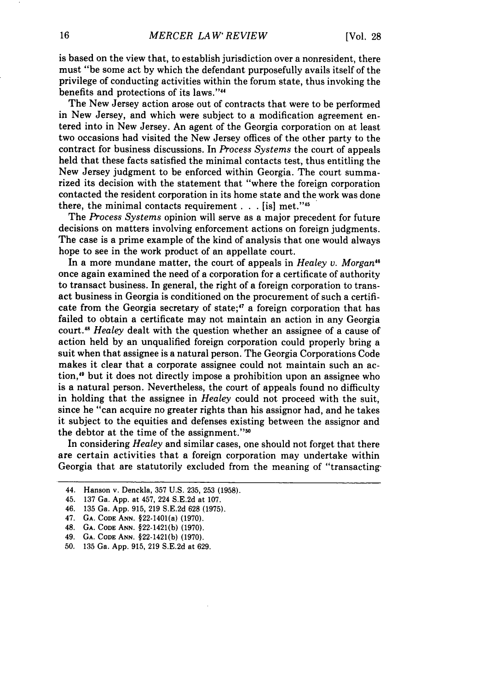is based on the view that, to establish jurisdiction over a nonresident, there must "be some act by which the defendant purposefully avails itself of the privilege of conducting activities within the forum state, thus invoking the benefits and protections of its laws.""

The New Jersey action arose out of contracts that were to be performed in New Jersey, and which were subject to a modification agreement entered into in New Jersey. An agent of the Georgia corporation on at least two occasions had visited the New Jersey offices of the other party to the contract for business discussions. In *Process Systems* the court of appeals held that these facts satisfied the minimal contacts test, thus entitling the New Jersey judgment to be enforced within Georgia. The court summarized its decision with the statement that "where the foreign corporation contacted the resident corporation in its home state and the work was done there, the minimal contacts requirement **. .** .[is] met."45

The *Process Systems* opinion will serve as a major precedent for future decisions on matters involving enforcement actions on foreign judgments. The case is a prime example of the kind of analysis that one would always hope to see in the work product of an appellate court.

In a more mundane matter, the court of appeals in *Healey v. Morgan"* once again examined the need of a corporation for a certificate of authority to transact business. In general, the right of a foreign corporation to transact business in Georgia is conditioned on the procurement of such a certificate from the Georgia secretary of state;<sup>47</sup> a foreign corporation that has failed to obtain a certificate may not maintain an action in any Georgia court." *Healey* dealt with the question whether an assignee of a cause of action held by an unqualified foreign corporation could properly bring a suit when that assignee is a natural person. The Georgia Corporations Code makes it clear that a corporate assignee could not maintain such an action,'9 but it does not directly impose a prohibition upon an assignee who is a natural person. Nevertheless, the court of appeals found no difficulty in holding that the assignee in *Healey* could not proceed with the suit, since he "can acquire no greater rights than his assignor had, and he takes it subject to the equities and defenses existing between the assignor and the debtor at the time of the assignment."<sup>50</sup>

In considering *Healey* and similar cases, one should not forget that there are certain activities that a foreign corporation may undertake within Georgia that are statutorily excluded from the meaning of "transacting-

- 47. **GA.** CODE ANN. §22-1401(a) **(1970).**
- 48. **GA. CODE ANN.** §22-1421(b) **(1970).**
- 49. **GA. CODE ANN.** §22-1421(b) **(1970).**
- **50. 135** Ga. **App. 915, 219 S.E.2d** at **629.**

<sup>44.</sup> Hanson v. Denckla, **357 U.S. 235, 253 (1958).**

<sup>45.</sup> **137** Ga. **App.** at 457, 224 **S.E.2d** at **107.**

<sup>46.</sup> **135** Ga. **App. 915, 219 S.E.2d 628 (1975).**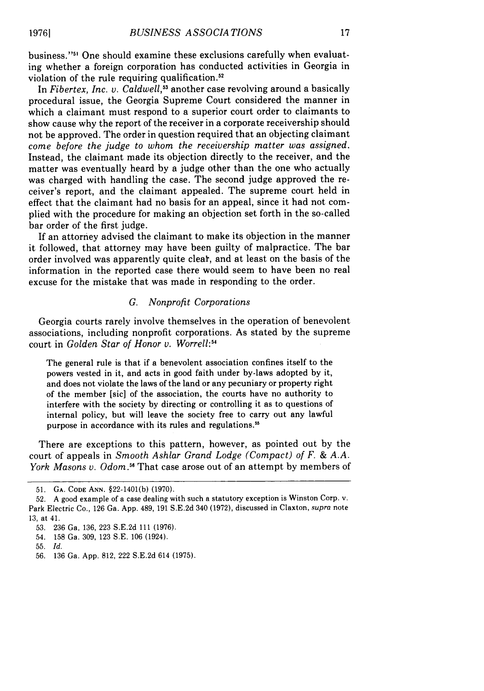business."<sup>51</sup> One should examine these exclusions carefully when evaluating whether a foreign corporation has conducted activities in Georgia in violation of the rule requiring qualification.<sup>52</sup>

In *Fibertex, Inc. v. Caldwell*,<sup>53</sup> another case revolving around a basically procedural issue, the Georgia Supreme Court considered the manner in which a claimant must respond to a superior court order to claimants to show cause why the report of the receiver in a corporate receivership should not be approved. The order in question required that an objecting claimant *come before the judge to whom the receivership matter was assigned.* Instead, the claimant made its objection directly to the receiver, and the matter was eventually heard by a judge other than the one who actually was charged with handling the case. The second judge approved the receiver's report, and the claimant appealed. The supreme court held in effect that the claimant had no basis for an appeal, since it had not complied with the procedure for making an objection set forth in the so-called bar order of the first judge.

If an attorney advised the claimant to make its objection in the manner it followed, that attorney may have been guilty of malpractice. The bar order involved was apparently quite cleat, and at least on the basis of the information in the reported case there would seem to have been no real excuse for the mistake that was made in responding to the order.

#### *G. Nonprofit Corporations*

Georgia courts rarely involve themselves in the operation of benevolent associations, including nonprofit corporations. As stated by the supreme court in *Golden Star of Honor v. Worrell:54*

The general rule is that if a benevolent association confines itself to the powers vested in it, and acts in good faith under by-laws adopted by it, and does not violate the laws of the land or any pecuniary or property right of the member [sic] of the association, the courts have no authority to interfere with the society by directing or controlling it as to questions of internal policy, but will leave the society free to carry out any lawful purpose in accordance with its rules and regulations.<sup>55</sup>

There are exceptions to this pattern, however, as pointed out by the court of appeals in *Smooth Ashlar Grand Lodge (Compact) of F. & A.A. York Masons v. Odom.56* That case arose out of an attempt by members of

**<sup>51.</sup> GA. CODE ANN.** §22-1401(b) (1970).

<sup>52.</sup> A good example of a case dealing with such a statutory exception is Winston Corp. v. Park Electric Co., 126 Ga. App. 489, 191 S.E.2d 340 (1972), discussed in Claxton, supra note 13, at 41.

<sup>53. 236</sup> Ga, 136, 223 S.E.2d 111 (1976).

<sup>54. 158</sup> Ga. 309, 123 S.E. 106 (1924).

<sup>55.</sup> *Id.*

<sup>56. 136</sup> Ga. App. 812, 222 S.E.2d 614 (1975).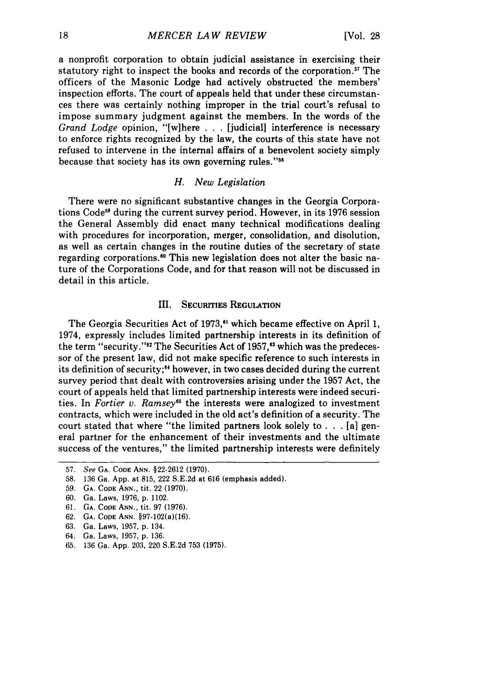a nonprofit corporation to obtain judicial assistance in exercising their statutory right to inspect the books and records of the corporation.<sup>57</sup> The officers of the Masonic Lodge had actively obstructed the members' inspection efforts. The court of appeals held that under these circumstances there was certainly nothing improper in the trial court's refusal to impose summary judgment against the members. In the words of the *Grand Lodge* opinion, "[w]here . . . [judicial] interference is necessary to enforce rights recognized by the law, the courts of this state have not refused to intervene in the internal affairs of a benevolent society simply because that society has its own governing rules."<sup>58</sup>

## *H. New Legislation*

There were no significant substantive changes in the Georgia Corporations Code<sup>59</sup> during the current survey period. However, in its 1976 session the General Assembly did enact many technical modifications dealing with procedures for incorporation, merger, consolidation, and disolution, as well as certain changes in the routine duties of the secretary of state regarding corporations.<sup>60</sup> This new legislation does not alter the basic nature of the Corporations Code, and for that reason will not be discussed in detail in this article.

#### III. **SECURITIES** REGULATION

The Georgia Securities Act of 1973,<sup>81</sup> which became effective on April 1, 1974, expressly includes limited partnership interests in its definition of the term "security."<sup>82</sup> The Securities Act of 1957,<sup>83</sup> which was the predecessor of the present law, did not make specific reference to such interests in its definition of security; 4 however, in two cases decided during the current survey period that dealt with controversies arising under the 1957 Act, the court of appeals held that limited partnership interests were indeed securities. In *Fortier v. Ramsey*<sup>65</sup> the interests were analogized to investment contracts, which were included in the old act's definition of a security. The court stated that where "the limited partners look solely to **. .** . [a] general partner for the enhancement of their investmeits and the ultimate success of the ventures," the limited partnership interests were definitely

**65. 136** Ga. **App. 203,** 220 **S.E.2d 753 (1975).**

<sup>57.</sup> See **GA.** CODE **ANN.** §22-2612 **(1970).**

**<sup>58.</sup> 136** Ga. **App.** at **815,** 222 **S.E.2d** at **616** (emphasis added).

**<sup>59.</sup> GA. CODE ANN.,** tit. 22 **(1970).**

**<sup>60.</sup>** Ga. Laws, **1976, p.** 1102.

**<sup>61.</sup> GA. CODE ANN.,** tit. **97 (1976).**

**<sup>62.</sup> GA.** CODE **ANN.** §97-102(a)(16).

**<sup>63.</sup>** Ga. Laws, **1957, p.** 134.

<sup>64.</sup> Ga. Laws, **1957, p. 136.**